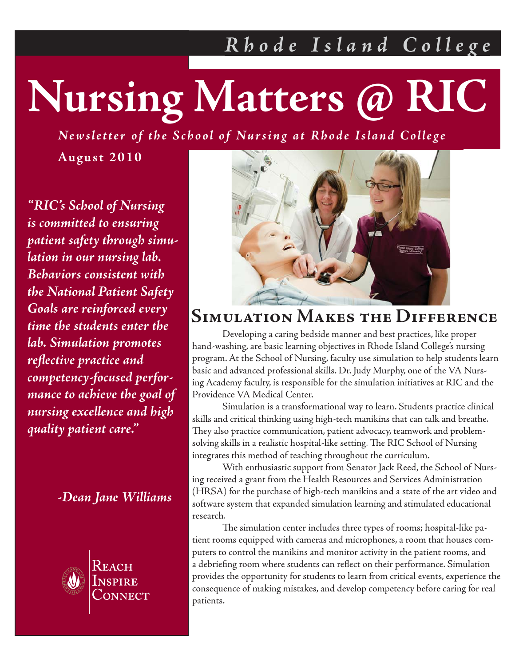# **Nursing Matters @ RIC**

*Newsletter of the School of Nursing at Rhode Island College*

**August 2010**

*Patient Safety Goals nursing excellence and high and Bedside Manner quality patient care." "RIC's School of Nursing is committed to ensuring patient safety through simulation in our nursing lab. Behaviors consistent with the National Patient Safety Goals are reinforced every time the students enter the lab. Simulation promotes refl ective practice and competency-focused performance to achieve the goal of* 

 *-Dean Jane Williams*



Reach

**Summer 2010**



#### **Simulation Makes the Difference**

 Developing a caring bedside manner and best practices, like proper hand-washing, are basic learning objectives in Rhode Island College's nursing program. At the School of Nursing, faculty use simulation to help students learn basic and advanced professional skills. Dr. Judy Murphy, one of the VA Nursing Academy faculty, is responsible for the simulation initiatives at RIC and the Providence VA Medical Center.

 Simulation is a transformational way to learn. Students practice clinical skills and critical thinking using high-tech manikins that can talk and breathe. They also practice communication, patient advocacy, teamwork and problemsolving skills in a realistic hospital-like setting. The RIC School of Nursing integrates this method of teaching throughout the curriculum.

 With enthusiastic support from Senator Jack Reed, the School of Nursing received a grant from the Health Resources and Services Administration (HRSA) for the purchase of high-tech manikins and a state of the art video and software system that expanded simulation learning and stimulated educational research.

The simulation center includes three types of rooms; hospital-like patient rooms equipped with cameras and microphones, a room that houses computers to control the manikins and monitor activity in the patient rooms, and a debriefing room where students can reflect on their performance. Simulation provides the opportunity for students to learn from critical events, experience the consequence of making mistakes, and develop competency before caring for real patients.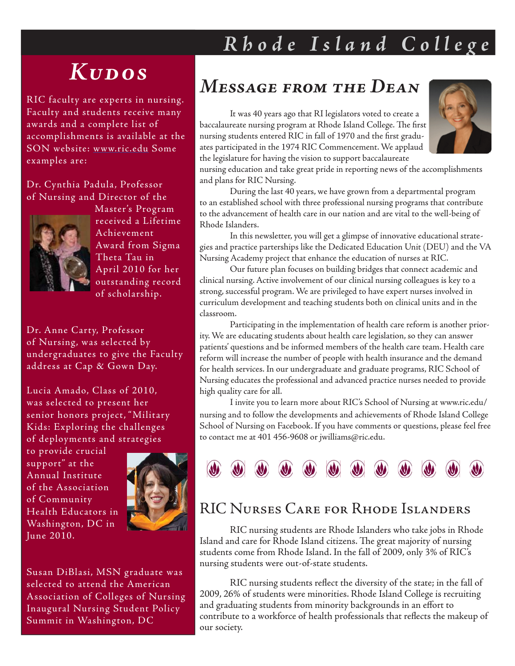### *Kudos*

RIC faculty are experts in nursing. Faculty and students receive many awards and a complete list of accomplishments is available at the SON website: www.ric.edu Some examples are:

#### Dr. Cynthia Padula, Professor of Nursing and Director of the



Master's Program received a Lifetime Achievement Award from Sigma Theta Tau in April 2010 for her outstanding record of scholarship.

Dr. Anne Carty, Professor of Nursing, was selected by undergraduates to give the Faculty address at Cap & Gown Day.

Lucia Amado, Class of 2010, was selected to present her senior honors project, " Military Kids: Exploring the challenges of deployments and strategies

to provide crucial support" at the Annual Institute of the Association of Community Health Educators in Washington, DC in June 2010.



Susan DiBlasi, MSN graduate was selected to attend the American Association of Colleges of Nursing Inaugural Nursing Student Policy Summit in Washington, DC

#### *Message from the Dean*

It was 40 years ago that RI legislators voted to create a baccalaureate nursing program at Rhode Island College. The first nursing students entered RIC in fall of 1970 and the first graduates participated in the 1974 RIC Commencement. We applaud the legislature for having the vision to support baccalaureate



nursing education and take great pride in reporting news of the accomplishments and plans for RIC Nursing.

 During the last 40 years, we have grown from a departmental program to an established school with three professional nursing programs that contribute to the advancement of health care in our nation and are vital to the well-being of Rhode Islanders.

 In this newsletter, you will get a glimpse of innovative educational strategies and practice parterships like the Dedicated Education Unit (DEU) and the VA Nursing Academy project that enhance the education of nurses at RIC.

 Our future plan focuses on building bridges that connect academic and clinical nursing. Active involvement of our clinical nursing colleagues is key to a strong, successful program. We are privileged to have expert nurses involved in curriculum development and teaching students both on clinical units and in the classroom.

 Participating in the implementation of health care reform is another priority. We are educating students about health care legislation, so they can answer patients' questions and be informed members of the health care team. Health care reform will increase the number of people with health insurance and the demand for health services. In our undergraduate and graduate programs, RIC School of Nursing educates the professional and advanced practice nurses needed to provide high quality care for all.

 I invite you to learn more about RIC's School of Nursing at www.ric.edu/ nursing and to follow the developments and achievements of Rhode Island College School of Nursing on Facebook. If you have comments or questions, please feel free to contact me at 401 456-9608 or jwilliams@ric.edu.



#### RIC Nurses Care for Rhode Islanders

 RIC nursing students are Rhode Islanders who take jobs in Rhode Island and care for Rhode Island citizens. The great majority of nursing students come from Rhode Island. In the fall of 2009, only 3% of RIC's nursing students were out-of-state students.

RIC nursing students reflect the diversity of the state; in the fall of 2009, 26% of students were minorities. Rhode Island College is recruiting and graduating students from minority backgrounds in an effort to contribute to a workforce of health professionals that reflects the makeup of our society.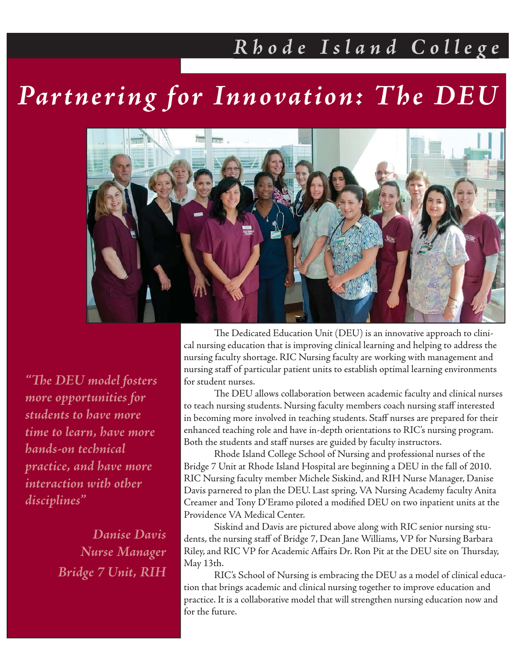## *Partnering for Innovation: The DEU*



*"Th e DEU model fosters more opportunities for students to have more time to learn, have more hands-on technical practice, and have more interaction with other disciplines"*

> *Danise Davis Nurse Manager Bridge 7 Unit, RIH*

The Dedicated Education Unit (DEU) is an innovative approach to clinical nursing education that is improving clinical learning and helping to address the nursing faculty shortage. RIC Nursing faculty are working with management and nursing staff of particular patient units to establish optimal learning environments for student nurses.

The DEU allows collaboration between academic faculty and clinical nurses to teach nursing students. Nursing faculty members coach nursing staff interested in becoming more involved in teaching students. Staff nurses are prepared for their enhanced teaching role and have in-depth orientations to RIC's nursing program. Both the students and staff nurses are guided by faculty instructors.

 Rhode Island College School of Nursing and professional nurses of the Bridge 7 Unit at Rhode Island Hospital are beginning a DEU in the fall of 2010. RIC Nursing faculty member Michele Siskind, and RIH Nurse Manager, Danise Davis parnered to plan the DEU. Last spring, VA Nursing Academy faculty Anita Creamer and Tony D'Eramo piloted a modified DEU on two inpatient units at the Providence VA Medical Center.

 Siskind and Davis are pictured above along with RIC senior nursing students, the nursing staff of Bridge 7, Dean Jane Williams, VP for Nursing Barbara Riley, and RIC VP for Academic Affairs Dr. Ron Pit at the DEU site on Thursday, May 13th.

 RIC's School of Nursing is embracing the DEU as a model of clinical education that brings academic and clinical nursing together to improve education and practice. It is a collaborative model that will strengthen nursing education now and for the future.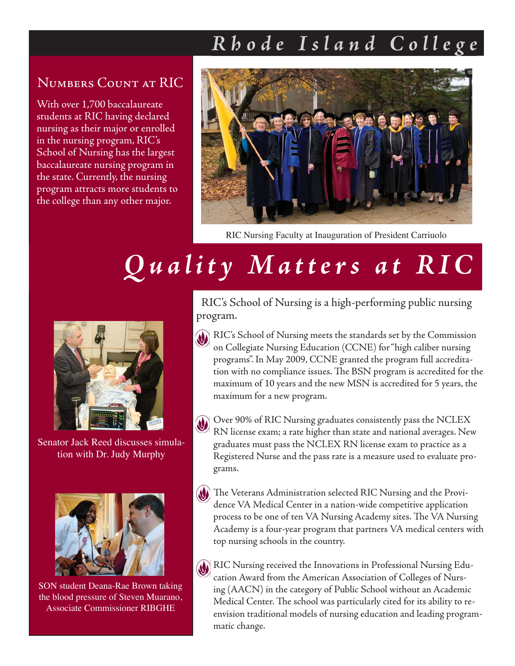#### Numbers Count at RIC

With over 1,700 baccalaureate students at RIC having declared nursing as their major or enrolled in the nursing program, RIC's School of Nursing has the largest baccalaureate nursing program in the state. Currently, the nursing program attracts more students to the college than any other major.



RIC Nursing Faculty at Inauguration of President Carriuolo

# *Quality Matters at RIC*



Senator Jack Reed discusses simulation with Dr. Judy Murphy



SON student Deana-Rae Brown taking the blood pressure of Steven Muarano, Associate Commissioner RIBGHE

 RIC's School of Nursing is a high-performing public nursing program.

- RIC's School of Nursing meets the standards set by the Commission on Collegiate Nursing Education (CCNE) for "high caliber nursing programs". In May 2009, CCNE granted the program full accreditation with no compliance issues. The BSN program is accredited for the maximum of 10 years and the new MSN is accredited for 5 years, the maximum for a new program.
- Over 90% of RIC Nursing graduates consistently pass the NCLEX RN license exam; a rate higher than state and national averages. New graduates must pass the NCLEX RN license exam to practice as a Registered Nurse and the pass rate is a measure used to evaluate programs.
- (W) The Veterans Administration selected RIC Nursing and the Providence VA Medical Center in a nation-wide competitive application process to be one of ten VA Nursing Academy sites. The VA Nursing Academy is a four-year program that partners VA medical centers with top nursing schools in the country.
- RIC Nursing received the Innovations in Professional Nursing Education Award from the American Association of Colleges of Nursing (AACN) in the category of Public School without an Academic Medical Center. The school was particularly cited for its ability to reenvision traditional models of nursing education and leading programmatic change.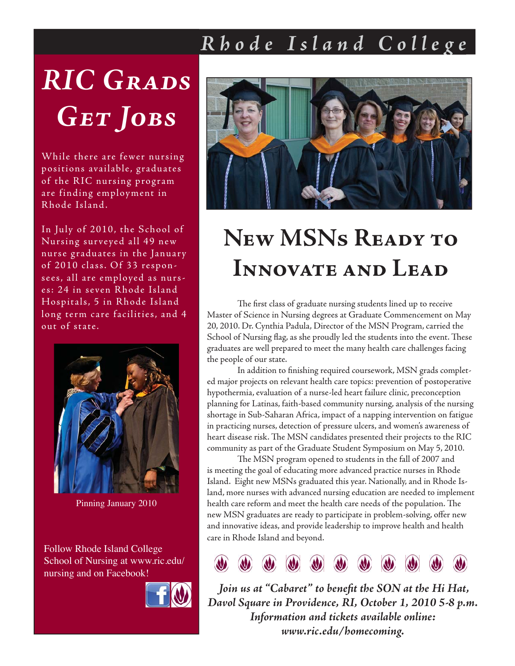# *RIC Grads Get Jobs*

While there are fewer nursing positions available, graduates of the RIC nursing program are finding employment in Rhode Island.

In July of 2010, the School of Nursing sur veyed all 49 new nurse graduates in the January of 2010 class. Of 33 responsees, all are employed as nurses: 24 in seven Rhode Island Hospitals, 5 in Rhode Island long term care facilities, and 4 out of state.



Pinning January 2010

Follow Rhode Island College School of Nursing at www.ric.edu/ nursing and on Facebook!





# **New MSNs Ready to Innovate and Lead**

The first class of graduate nursing students lined up to receive Master of Science in Nursing degrees at Graduate Commencement on May 20, 2010. Dr. Cynthia Padula, Director of the MSN Program, carried the School of Nursing flag, as she proudly led the students into the event. These graduates are well prepared to meet the many health care challenges facing the people of our state.

In addition to finishing required coursework, MSN grads completed major projects on relevant health care topics: prevention of postoperative hypothermia, evaluation of a nurse-led heart failure clinic, preconception planning for Latinas, faith-based community nursing, analysis of the nursing shortage in Sub-Saharan Africa, impact of a napping intervention on fatigue in practicing nurses, detection of pressure ulcers, and women's awareness of heart disease risk. The MSN candidates presented their projects to the RIC community as part of the Graduate Student Symposium on May 5, 2010.

The MSN program opened to students in the fall of 2007 and is meeting the goal of educating more advanced practice nurses in Rhode Island. Eight new MSNs graduated this year. Nationally, and in Rhode Island, more nurses with advanced nursing education are needed to implement health care reform and meet the health care needs of the population. The new MSN graduates are ready to participate in problem-solving, offer new and innovative ideas, and provide leadership to improve health and health care in Rhode Island and beyond.



Join us at "Cabaret" to benefit the SON at the Hi Hat, *Davol Square in Providence, RI, October 1, 2010 5-8 p.m. Information and tickets available online: www.ric.edu/homecoming.*